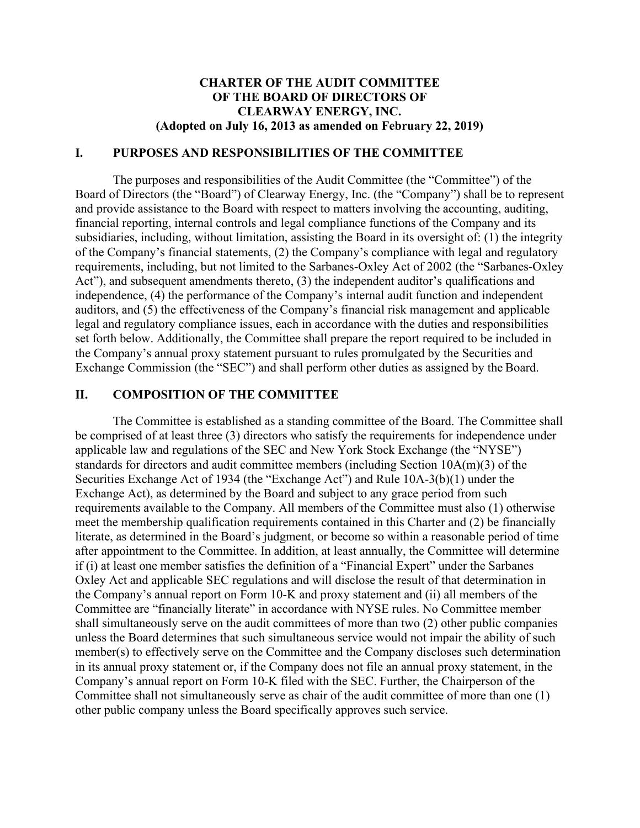### **CHARTER OF THE AUDIT COMMITTEE OF THE BOARD OF DIRECTORS OF CLEARWAY ENERGY, INC. (Adopted on July 16, 2013 as amended on February 22, 2019)**

### **I. PURPOSES AND RESPONSIBILITIES OF THE COMMITTEE**

The purposes and responsibilities of the Audit Committee (the "Committee") of the Board of Directors (the "Board") of Clearway Energy, Inc. (the "Company") shall be to represent and provide assistance to the Board with respect to matters involving the accounting, auditing, financial reporting, internal controls and legal compliance functions of the Company and its subsidiaries, including, without limitation, assisting the Board in its oversight of: (1) the integrity of the Company's financial statements, (2) the Company's compliance with legal and regulatory requirements, including, but not limited to the Sarbanes-Oxley Act of 2002 (the "Sarbanes-Oxley Act"), and subsequent amendments thereto, (3) the independent auditor's qualifications and independence, (4) the performance of the Company's internal audit function and independent auditors, and (5) the effectiveness of the Company's financial risk management and applicable legal and regulatory compliance issues, each in accordance with the duties and responsibilities set forth below. Additionally, the Committee shall prepare the report required to be included in the Company's annual proxy statement pursuant to rules promulgated by the Securities and Exchange Commission (the "SEC") and shall perform other duties as assigned by the Board.

### **II. COMPOSITION OF THE COMMITTEE**

The Committee is established as a standing committee of the Board. The Committee shall be comprised of at least three (3) directors who satisfy the requirements for independence under applicable law and regulations of the SEC and New York Stock Exchange (the "NYSE") standards for directors and audit committee members (including Section 10A(m)(3) of the Securities Exchange Act of 1934 (the "Exchange Act") and Rule 10A-3(b)(1) under the Exchange Act), as determined by the Board and subject to any grace period from such requirements available to the Company. All members of the Committee must also (1) otherwise meet the membership qualification requirements contained in this Charter and (2) be financially literate, as determined in the Board's judgment, or become so within a reasonable period of time after appointment to the Committee. In addition, at least annually, the Committee will determine if (i) at least one member satisfies the definition of a "Financial Expert" under the Sarbanes Oxley Act and applicable SEC regulations and will disclose the result of that determination in the Company's annual report on Form 10-K and proxy statement and (ii) all members of the Committee are "financially literate" in accordance with NYSE rules. No Committee member shall simultaneously serve on the audit committees of more than two (2) other public companies unless the Board determines that such simultaneous service would not impair the ability of such member(s) to effectively serve on the Committee and the Company discloses such determination in its annual proxy statement or, if the Company does not file an annual proxy statement, in the Company's annual report on Form 10-K filed with the SEC. Further, the Chairperson of the Committee shall not simultaneously serve as chair of the audit committee of more than one (1) other public company unless the Board specifically approves such service.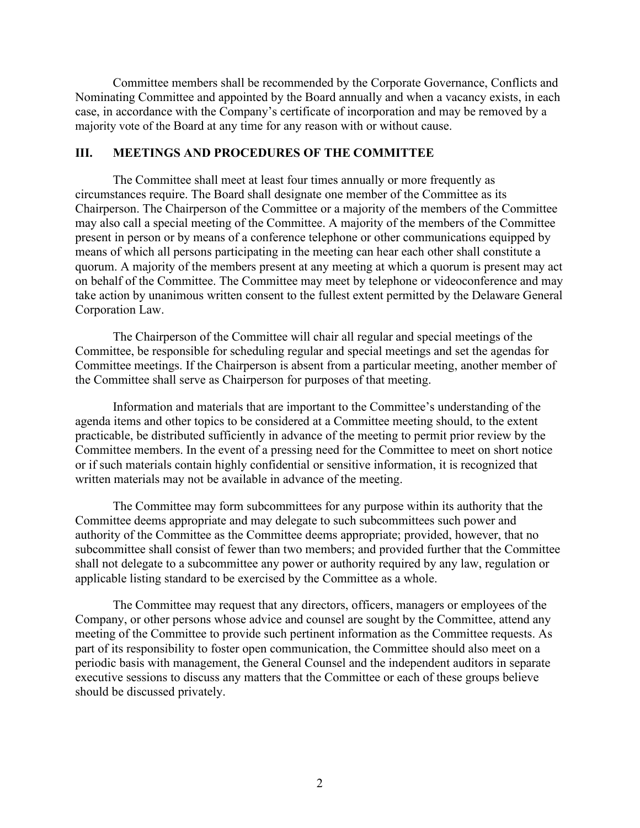Committee members shall be recommended by the Corporate Governance, Conflicts and Nominating Committee and appointed by the Board annually and when a vacancy exists, in each case, in accordance with the Company's certificate of incorporation and may be removed by a majority vote of the Board at any time for any reason with or without cause.

#### **III. MEETINGS AND PROCEDURES OF THE COMMITTEE**

The Committee shall meet at least four times annually or more frequently as circumstances require. The Board shall designate one member of the Committee as its Chairperson. The Chairperson of the Committee or a majority of the members of the Committee may also call a special meeting of the Committee. A majority of the members of the Committee present in person or by means of a conference telephone or other communications equipped by means of which all persons participating in the meeting can hear each other shall constitute a quorum. A majority of the members present at any meeting at which a quorum is present may act on behalf of the Committee. The Committee may meet by telephone or videoconference and may take action by unanimous written consent to the fullest extent permitted by the Delaware General Corporation Law.

The Chairperson of the Committee will chair all regular and special meetings of the Committee, be responsible for scheduling regular and special meetings and set the agendas for Committee meetings. If the Chairperson is absent from a particular meeting, another member of the Committee shall serve as Chairperson for purposes of that meeting.

Information and materials that are important to the Committee's understanding of the agenda items and other topics to be considered at a Committee meeting should, to the extent practicable, be distributed sufficiently in advance of the meeting to permit prior review by the Committee members. In the event of a pressing need for the Committee to meet on short notice or if such materials contain highly confidential or sensitive information, it is recognized that written materials may not be available in advance of the meeting.

The Committee may form subcommittees for any purpose within its authority that the Committee deems appropriate and may delegate to such subcommittees such power and authority of the Committee as the Committee deems appropriate; provided, however, that no subcommittee shall consist of fewer than two members; and provided further that the Committee shall not delegate to a subcommittee any power or authority required by any law, regulation or applicable listing standard to be exercised by the Committee as a whole.

The Committee may request that any directors, officers, managers or employees of the Company, or other persons whose advice and counsel are sought by the Committee, attend any meeting of the Committee to provide such pertinent information as the Committee requests. As part of its responsibility to foster open communication, the Committee should also meet on a periodic basis with management, the General Counsel and the independent auditors in separate executive sessions to discuss any matters that the Committee or each of these groups believe should be discussed privately.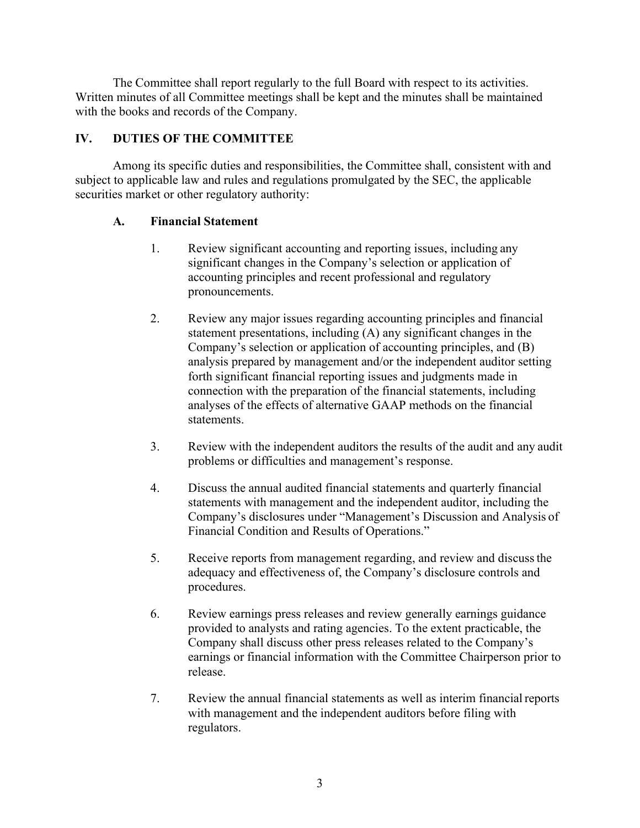The Committee shall report regularly to the full Board with respect to its activities. Written minutes of all Committee meetings shall be kept and the minutes shall be maintained with the books and records of the Company.

## **IV. DUTIES OF THE COMMITTEE**

Among its specific duties and responsibilities, the Committee shall, consistent with and subject to applicable law and rules and regulations promulgated by the SEC, the applicable securities market or other regulatory authority:

## **A. Financial Statement**

- 1. Review significant accounting and reporting issues, including any significant changes in the Company's selection or application of accounting principles and recent professional and regulatory pronouncements.
- 2. Review any major issues regarding accounting principles and financial statement presentations, including (A) any significant changes in the Company's selection or application of accounting principles, and (B) analysis prepared by management and/or the independent auditor setting forth significant financial reporting issues and judgments made in connection with the preparation of the financial statements, including analyses of the effects of alternative GAAP methods on the financial statements.
- 3. Review with the independent auditors the results of the audit and any audit problems or difficulties and management's response.
- 4. Discuss the annual audited financial statements and quarterly financial statements with management and the independent auditor, including the Company's disclosures under "Management's Discussion and Analysis of Financial Condition and Results of Operations."
- 5. Receive reports from management regarding, and review and discussthe adequacy and effectiveness of, the Company's disclosure controls and procedures.
- 6. Review earnings press releases and review generally earnings guidance provided to analysts and rating agencies. To the extent practicable, the Company shall discuss other press releases related to the Company's earnings or financial information with the Committee Chairperson prior to release.
- 7. Review the annual financial statements as well as interim financialreports with management and the independent auditors before filing with regulators.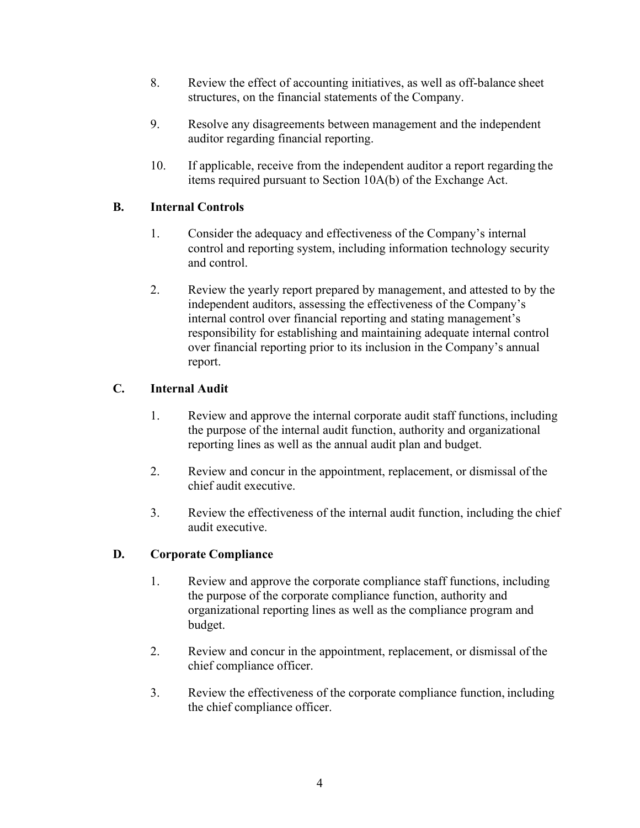- 8. Review the effect of accounting initiatives, as well as off-balance sheet structures, on the financial statements of the Company.
- 9. Resolve any disagreements between management and the independent auditor regarding financial reporting.
- 10. If applicable, receive from the independent auditor a report regarding the items required pursuant to Section 10A(b) of the Exchange Act.

## **B. Internal Controls**

- 1. Consider the adequacy and effectiveness of the Company's internal control and reporting system, including information technology security and control.
- 2. Review the yearly report prepared by management, and attested to by the independent auditors, assessing the effectiveness of the Company's internal control over financial reporting and stating management's responsibility for establishing and maintaining adequate internal control over financial reporting prior to its inclusion in the Company's annual report.

# **C. Internal Audit**

- 1. Review and approve the internal corporate audit staff functions, including the purpose of the internal audit function, authority and organizational reporting lines as well as the annual audit plan and budget.
- 2. Review and concur in the appointment, replacement, or dismissal of the chief audit executive.
- 3. Review the effectiveness of the internal audit function, including the chief audit executive.

## **D. Corporate Compliance**

- 1. Review and approve the corporate compliance staff functions, including the purpose of the corporate compliance function, authority and organizational reporting lines as well as the compliance program and budget.
- 2. Review and concur in the appointment, replacement, or dismissal of the chief compliance officer.
- 3. Review the effectiveness of the corporate compliance function, including the chief compliance officer.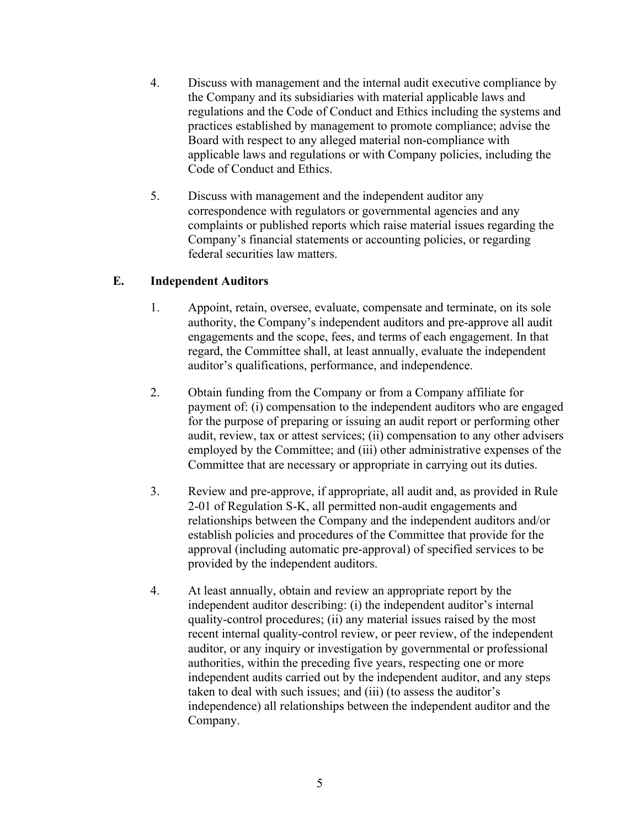- 4. Discuss with management and the internal audit executive compliance by the Company and its subsidiaries with material applicable laws and regulations and the Code of Conduct and Ethics including the systems and practices established by management to promote compliance; advise the Board with respect to any alleged material non-compliance with applicable laws and regulations or with Company policies, including the Code of Conduct and Ethics.
- 5. Discuss with management and the independent auditor any correspondence with regulators or governmental agencies and any complaints or published reports which raise material issues regarding the Company's financial statements or accounting policies, or regarding federal securities law matters.

## **E. Independent Auditors**

- 1. Appoint, retain, oversee, evaluate, compensate and terminate, on its sole authority, the Company's independent auditors and pre-approve all audit engagements and the scope, fees, and terms of each engagement. In that regard, the Committee shall, at least annually, evaluate the independent auditor's qualifications, performance, and independence.
- 2. Obtain funding from the Company or from a Company affiliate for payment of: (i) compensation to the independent auditors who are engaged for the purpose of preparing or issuing an audit report or performing other audit, review, tax or attest services; (ii) compensation to any other advisers employed by the Committee; and (iii) other administrative expenses of the Committee that are necessary or appropriate in carrying out its duties.
- 3. Review and pre-approve, if appropriate, all audit and, as provided in Rule 2-01 of Regulation S-K, all permitted non-audit engagements and relationships between the Company and the independent auditors and/or establish policies and procedures of the Committee that provide for the approval (including automatic pre-approval) of specified services to be provided by the independent auditors.
- 4. At least annually, obtain and review an appropriate report by the independent auditor describing: (i) the independent auditor's internal quality-control procedures; (ii) any material issues raised by the most recent internal quality-control review, or peer review, of the independent auditor, or any inquiry or investigation by governmental or professional authorities, within the preceding five years, respecting one or more independent audits carried out by the independent auditor, and any steps taken to deal with such issues; and (iii) (to assess the auditor's independence) all relationships between the independent auditor and the Company.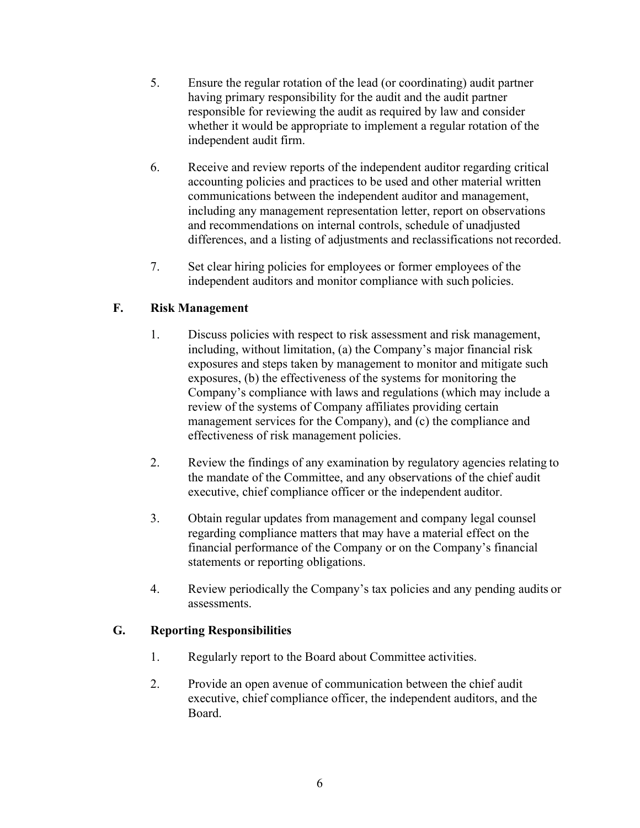- 5. Ensure the regular rotation of the lead (or coordinating) audit partner having primary responsibility for the audit and the audit partner responsible for reviewing the audit as required by law and consider whether it would be appropriate to implement a regular rotation of the independent audit firm.
- 6. Receive and review reports of the independent auditor regarding critical accounting policies and practices to be used and other material written communications between the independent auditor and management, including any management representation letter, report on observations and recommendations on internal controls, schedule of unadjusted differences, and a listing of adjustments and reclassifications not recorded.
- 7. Set clear hiring policies for employees or former employees of the independent auditors and monitor compliance with such policies.

# **F. Risk Management**

- 1. Discuss policies with respect to risk assessment and risk management, including, without limitation, (a) the Company's major financial risk exposures and steps taken by management to monitor and mitigate such exposures, (b) the effectiveness of the systems for monitoring the Company's compliance with laws and regulations (which may include a review of the systems of Company affiliates providing certain management services for the Company), and (c) the compliance and effectiveness of risk management policies.
- 2. Review the findings of any examination by regulatory agencies relating to the mandate of the Committee, and any observations of the chief audit executive, chief compliance officer or the independent auditor.
- 3. Obtain regular updates from management and company legal counsel regarding compliance matters that may have a material effect on the financial performance of the Company or on the Company's financial statements or reporting obligations.
- 4. Review periodically the Company's tax policies and any pending audits or assessments.

# **G. Reporting Responsibilities**

- 1. Regularly report to the Board about Committee activities.
- 2. Provide an open avenue of communication between the chief audit executive, chief compliance officer, the independent auditors, and the Board.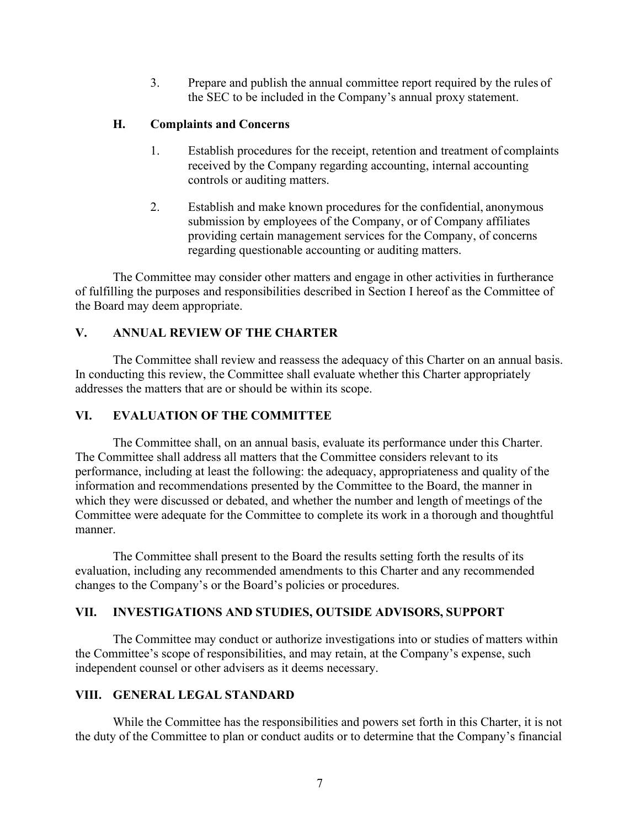3. Prepare and publish the annual committee report required by the rules of the SEC to be included in the Company's annual proxy statement.

### **H. Complaints and Concerns**

- 1. Establish procedures for the receipt, retention and treatment of complaints received by the Company regarding accounting, internal accounting controls or auditing matters.
- 2. Establish and make known procedures for the confidential, anonymous submission by employees of the Company, or of Company affiliates providing certain management services for the Company, of concerns regarding questionable accounting or auditing matters.

The Committee may consider other matters and engage in other activities in furtherance of fulfilling the purposes and responsibilities described in Section I hereof as the Committee of the Board may deem appropriate.

## **V. ANNUAL REVIEW OF THE CHARTER**

The Committee shall review and reassess the adequacy of this Charter on an annual basis. In conducting this review, the Committee shall evaluate whether this Charter appropriately addresses the matters that are or should be within its scope.

### **VI. EVALUATION OF THE COMMITTEE**

The Committee shall, on an annual basis, evaluate its performance under this Charter. The Committee shall address all matters that the Committee considers relevant to its performance, including at least the following: the adequacy, appropriateness and quality of the information and recommendations presented by the Committee to the Board, the manner in which they were discussed or debated, and whether the number and length of meetings of the Committee were adequate for the Committee to complete its work in a thorough and thoughtful manner.

The Committee shall present to the Board the results setting forth the results of its evaluation, including any recommended amendments to this Charter and any recommended changes to the Company's or the Board's policies or procedures.

## **VII. INVESTIGATIONS AND STUDIES, OUTSIDE ADVISORS, SUPPORT**

The Committee may conduct or authorize investigations into or studies of matters within the Committee's scope of responsibilities, and may retain, at the Company's expense, such independent counsel or other advisers as it deems necessary.

#### **VIII. GENERAL LEGAL STANDARD**

While the Committee has the responsibilities and powers set forth in this Charter, it is not the duty of the Committee to plan or conduct audits or to determine that the Company's financial